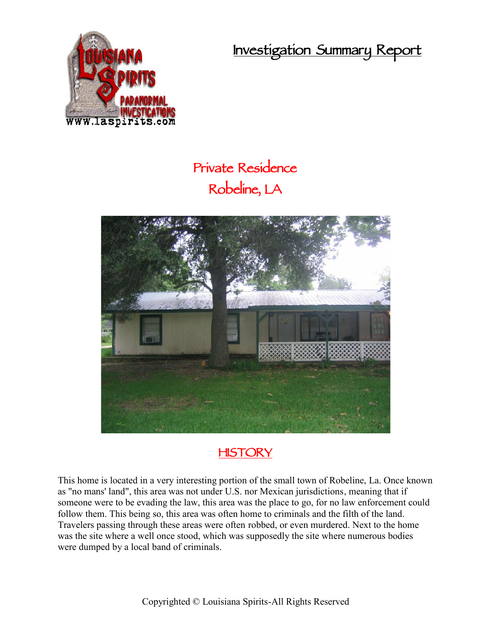**Investigation Summary Report**



## **Private Residence Robeline, LA**



## **HISTORY**

This home is located in a very interesting portion of the small town of Robeline, La. Once known as "no mans' land", this area was not under U.S. nor Mexican jurisdictions, meaning that if someone were to be evading the law, this area was the place to go, for no law enforcement could follow them. This being so, this area was often home to criminals and the filth of the land. Travelers passing through these areas were often robbed, or even murdered. Next to the home was the site where a well once stood, which was supposedly the site where numerous bodies were dumped by a local band of criminals.